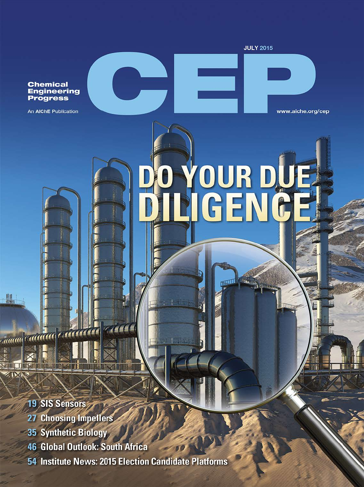**Chemical** Engineering<br>Progress

An AIChE Publication

**JULY 2015** 

www.aiche.org/cep

# **OUR DUE**<br>**IGENICE**

**19 SIS Sensors** 

业.

aanaa Californi

**XIIII THERE** 

 $Z$  [ $X$ ]

- 27 Choosing Impellers
- 35 Synthetic Biology
	- **46 Global Outlook: South Africa**
	- 54 Institute News: 2015 Election Candidate Platforms

**KACCO** 

 $\pi\pi$ 

有限 明电器学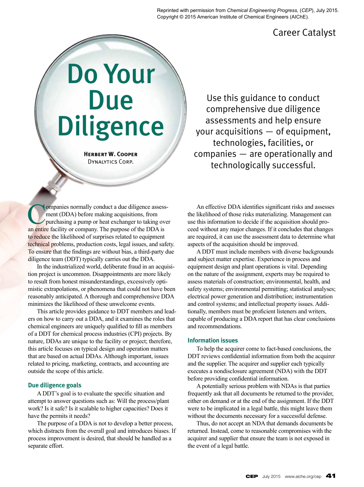Reprinted with permission from *Chemical Engineering Progress,* (*CEP*), July 2015. Copyright © 2015 American Institute of Chemical Engineers (AIChE).

# Career Catalyst

# Do Your Due Diligence

**Herbert W. Cooper** Dynalytics Corp.

Use this guidance to conduct comprehensive due diligence assessments and help ensure your acquisitions — of equipment, technologies, facilities, or companies — are operationally and technologically successful.

Companies normally conduct a due diligence assessment (DDA) before making acquisitions, from purchasing a pump or heat exchanger to taking over an entire facility or company. The purpose of the DDA is to reduce the likelihood of surprises related to equipment technical problems, production costs, legal issues, and safety. To ensure that the findings are without bias, a third-party due diligence team (DDT) typically carries out the DDA.

In the industrialized world, deliberate fraud in an acquisition project is uncommon. Disappointments are more likely to result from honest misunderstandings, excessively optimistic extrapolations, or phenomena that could not have been reasonably anticipated. A thorough and comprehensive DDA minimizes the likelihood of these unwelcome events.

This article provides guidance to DDT members and leaders on how to carry out a DDA, and it examines the roles that chemical engineers are uniquely qualified to fill as members of a DDT for chemical process industries (CPI) projects. By nature, DDAs are unique to the facility or project; therefore, this article focuses on typical design and operation matters that are based on actual DDAs. Although important, issues related to pricing, marketing, contracts, and accounting are outside the scope of this article.

#### **Due diligence goals**

A DDT's goal is to evaluate the specific situation and attempt to answer questions such as: Will the process/plant work? Is it safe? Is it scalable to higher capacities? Does it have the permits it needs?

The purpose of a DDA is not to develop a better process, which distracts from the overall goal and introduces biases. If process improvement is desired, that should be handled as a separate effort.

An effective DDA identifies significant risks and assesses the likelihood of those risks materializing. Management can use this information to decide if the acquisition should proceed without any major changes. If it concludes that changes are required, it can use the assessment data to determine what aspects of the acquisition should be improved.

A DDT must include members with diverse backgrounds and subject matter expertise. Experience in process and equipment design and plant operations is vital. Depending on the nature of the assignment, experts may be required to assess materials of construction; environmental, health, and safety systems; environmental permitting; statistical analyses; electrical power generation and distribution; instrumentation and control systems; and intellectual property issues. Additionally, members must be proficient listeners and writers, capable of producing a DDA report that has clear conclusions and recommendations.

#### **Information issues**

To help the acquirer come to fact-based conclusions, the DDT reviews confidential information from both the acquirer and the supplier. The acquirer and supplier each typically executes a nondisclosure agreement (NDA) with the DDT before providing confidential information.

A potentially serious problem with NDAs is that parties frequently ask that all documents be returned to the provider, either on demand or at the end of the assignment. If the DDT were to be implicated in a legal battle, this might leave them without the documents necessary for a successful defense.

Thus, do not accept an NDA that demands documents be returned. Instead, come to reasonable compromises with the acquirer and supplier that ensure the team is not exposed in the event of a legal battle.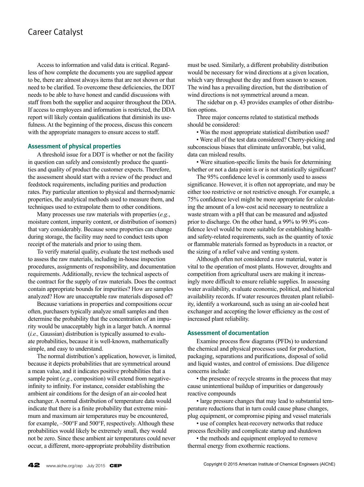# Career Catalyst

Access to information and valid data is critical. Regardless of how complete the documents you are supplied appear to be, there are almost always items that are not shown or that need to be clarified. To overcome these deficiencies, the DDT needs to be able to have honest and candid discussions with staff from both the supplier and acquirer throughout the DDA. If access to employees and information is restricted, the DDA report will likely contain qualifications that diminish its usefulness. At the beginning of the process, discuss this concern with the appropriate managers to ensure access to staff.

#### **Assessment of physical properties**

A threshold issue for a DDT is whether or not the facility in question can safely and consistently produce the quantities and quality of product the customer expects. Therefore, the assessment should start with a review of the product and feedstock requirements, including purities and production rates. Pay particular attention to physical and thermodynamic properties, the analytical methods used to measure them, and techniques used to extrapolate them to other conditions.

Many processes use raw materials with properties (*e.g.*, moisture content, impurity content, or distribution of isomers) that vary considerably. Because some properties can change during storage, the facility may need to conduct tests upon receipt of the materials and prior to using them.

To verify material quality, evaluate the test methods used to assess the raw materials, including in-house inspection procedures, assignments of responsibility, and documentation requirements. Additionally, review the technical aspects of the contract for the supply of raw materials. Does the contract contain appropriate bounds for impurities? How are samples analyzed? How are unacceptable raw materials disposed of?

Because variations in properties and compositions occur often, purchasers typically analyze small samples and then determine the probability that the concentration of an impurity would be unacceptably high in a larger batch. A normal (*i.e.,* Gaussian) distribution is typically assumed to evaluate probabilities, because it is well-known, mathematically simple, and easy to understand.

The normal distribution's application, however, is limited, because it depicts probabilities that are symmetrical around a mean value, and it indicates positive probabilities that a sample point (*e.g.*, composition) will extend from negativeinfinity to infinity. For instance, consider establishing the ambient air conditions for the design of an air-cooled heat exchanger. A normal distribution of temperature data would indicate that there is a finite probability that extreme minimum and maximum air temperatures may be encountered, for example, –500°F and 500°F, respectively. Although these probabilities would likely be extremely small, they would not be zero. Since these ambient air temperatures could never occur, a different, more-appropriate probability distribution

must be used. Similarly, a different probability distribution would be necessary for wind directions at a given location, which vary throughout the day and from season to season. The wind has a prevailing direction, but the distribution of wind directions is not symmetrical around a mean.

The sidebar on p. 43 provides examples of other distribution options.

Three major concerns related to statistical methods should be considered:

• Was the most appropriate statistical distribution used?

• Were all of the test data considered? Cherry-picking and subconscious biases that eliminate unfavorable, but valid, data can mislead results.

• Were situation-specific limits the basis for determining whether or not a data point is or is not statistically significant?

The 95% confidence level is commonly used to assess significance. However, it is often not appropriate, and may be either too restrictive or not restrictive enough. For example, a 75% confidence level might be more appropriate for calculating the amount of a low-cost acid necessary to neutralize a waste stream with a pH that can be measured and adjusted prior to discharge. On the other hand, a 99% to 99.9% confidence level would be more suitable for establishing healthand safety-related requirements, such as the quantity of toxic or flammable materials formed as byproducts in a reactor, or the sizing of a relief valve and venting system.

Although often not considered a raw material, water is vital to the operation of most plants. However, droughts and competition from agricultural users are making it increasingly more difficult to ensure reliable supplies. In assessing water availability, evaluate economic, political, and historical availability records. If water resources threaten plant reliability, identify a workaround, such as using an air-cooled heat exchanger and accepting the lower efficiency as the cost of increased plant reliability.

#### **Assessment of documentation**

Examine process flow diagrams (PFDs) to understand the chemical and physical processes used for production, packaging, separations and purifications, disposal of solid and liquid wastes, and control of emissions. Due diligence concerns include:

• the presence of recycle streams in the process that may cause unintentional buildup of impurities or dangerously reactive compounds

• large pressure changes that may lead to substantial temperature reductions that in turn could cause phase changes, plug equipment, or compromise piping and vessel materials

• use of complex heat-recovery networks that reduce process flexibility and complicate startup and shutdown

• the methods and equipment employed to remove thermal energy from exothermic reactions.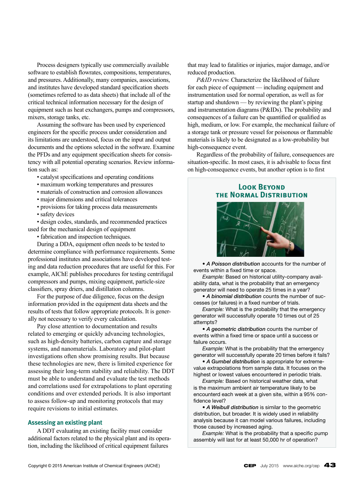Process designers typically use commercially available software to establish flowrates, compositions, temperatures, and pressures. Additionally, many companies, associations, and institutes have developed standard specification sheets (sometimes referred to as data sheets) that include all of the critical technical information necessary for the design of equipment such as heat exchangers, pumps and compressors, mixers, storage tanks, etc.

Assuming the software has been used by experienced engineers for the specific process under consideration and its limitations are understood, focus on the input and output documents and the options selected in the software. Examine the PFDs and any equipment specification sheets for consistency with all potential operating scenarios. Review information such as:

- catalyst specifications and operating conditions
- maximum working temperatures and pressures
- materials of construction and corrosion allowances
- major dimensions and critical tolerances
- provisions for taking process data measurements
- safety devices

• design codes, standards, and recommended practices used for the mechanical design of equipment

• fabrication and inspection techniques.

During a DDA, equipment often needs to be tested to determine compliance with performance requirements. Some professional institutes and associations have developed testing and data reduction procedures that are useful for this. For example, AIChE publishes procedures for testing centrifugal compressors and pumps, mixing equipment, particle-size classifiers, spray driers, and distillation columns.

For the purpose of due diligence, focus on the design information provided in the equipment data sheets and the results of tests that follow appropriate protocols. It is generally not necessary to verify every calculation.

Pay close attention to documentation and results related to emerging or quickly advancing technologies, such as high-density batteries, carbon capture and storage systems, and nanomaterials. Laboratory and pilot-plant investigations often show promising results. But because these technologies are new, there is limited experience for assessing their long-term stability and reliability. The DDT must be able to understand and evaluate the test methods and correlations used for extrapolations to plant operating conditions and over extended periods. It is also important to assess follow-up and monitoring protocols that may require revisions to initial estimates.

#### **Assessing an existing plant**

A DDT evaluating an existing facility must consider additional factors related to the physical plant and its operation, including the likelihood of critical equipment failures

that may lead to fatalities or injuries, major damage, and/or reduced production.

*P&ID review.* Characterize the likelihood of failure for each piece of equipment — including equipment and instrumentation used for normal operation, as well as for startup and shutdown — by reviewing the plant's piping and instrumentation diagrams (P&IDs). The probability and consequences of a failure can be quantified or qualified as high, medium, or low. For example, the mechanical failure of a storage tank or pressure vessel for poisonous or flammable materials is likely to be designated as a low-probability but high-consequence event.

Regardless of the probability of failure, consequences are situation-specific. In most cases, it is advisable to focus first on high-consequence events, but another option is to first

## **Look BEYOND the Normal Distribution**



• *A Poisson distribution* accounts for the number of events within a fixed time or space.

*Example:* Based on historical utility-company availability data, what is the probability that an emergency generator will need to operate 25 times in a year?

• *A binomial distribution* counts the number of successes (or failures) in a fixed number of trials.

*Example:* What is the probability that the emergency generator will successfully operate 10 times out of 25 attempts?

• *A geometric distribution* counts the number of events within a fixed time or space until a success or failure occurs.

*Example:* What is the probability that the emergency generator will successfully operate 20 times before it fails?

• *A Gumbel distribution* is appropriate for extremevalue extrapolations from sample data. It focuses on the highest or lowest values encountered in periodic trials.

*Example:* Based on historical weather data, what is the maximum ambient air temperature likely to be encounterd each week at a given site, within a 95% confidence level?

• *A Weibull distribution* is similar to the geometric distribution, but broader. It is widely used in reliability analysis because it can model various failures, including those caused by increased aging.

*Example:* What is the probability that a specific pump assembly will last for at least 50,000 hr of operation?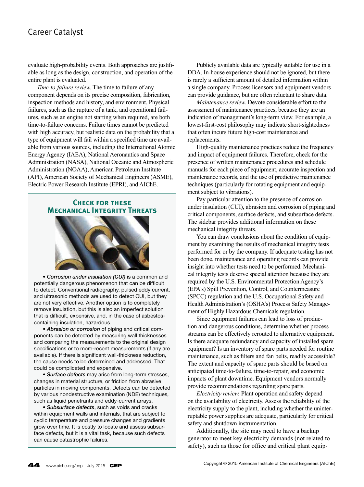# Career Catalyst

evaluate high-probability events. Both approaches are justifiable as long as the design, construction, and operation of the entire plant is evaluated.

*Time-to-failure review.* The time to failure of any component depends on its precise composition, fabrication, inspection methods and history, and environment. Physical failures, such as the rupture of a tank, and operational failures, such as an engine not starting when required, are both time-to-failure concerns. Failure times cannot be predicted with high accuracy, but realistic data on the probability that a type of equipment will fail within a specified time are available from various sources, including the International Atomic Energy Agency (IAEA), National Aeronautics and Space Administration (NASA), National Oceanic and Atmospheric Administration (NOAA), American Petroleum Institute (API), American Society of Mechanical Engineers (ASME), Electric Power Research Institute (EPRI), and AIChE.

### **Check for these Mechanical Integrity Threats**



• *Corrosion under insulation (CUI)* is a common and potentially dangerous phenomenon that can be difficult to detect. Conventional radiography, pulsed eddy current, and ultrasonic methods are used to detect CUI, but they are not very effective. Another option is to completely remove insulation, but this is also an imperfect solution that is difficult, expensive, and, in the case of asbestoscontaining insulation, hazardous.

• *Abrasion or corrosion* of piping and critical components can be detected by measuring wall thicknesses and comparing the measurements to the original design specifications or to more-recent measurements (if any are available). If there is significant wall-thickness reduction, the cause needs to be determined and addressed. That could be complicated and expensive.

• *Surface defects* may arise from long-term stresses, changes in material structure, or friction from abrasive particles in moving components. Defects can be detected by various nondestructive examination (NDE) techniques, such as liquid penetrants and eddy-current arrays.

• *Subsurface defects*, such as voids and cracks within equipment walls and internals, that are subject to cyclic temperature and pressure changes and gradients grow over time. It is costly to locate and assess subsurface defects, but it is a vital task, because such defects can cause catastrophic failures.

Publicly available data are typically suitable for use in a DDA. In-house experience should not be ignored, but there is rarely a sufficient amount of detailed information within a single company. Process licensors and equipment vendors can provide guidance, but are often reluctant to share data.

*Maintenance review.* Devote considerable effort to the assessment of maintenance practices, because they are an indication of management's long-term view. For example, a lowest-first-cost philosophy may indicate short-sightedness that often incurs future high-cost maintenance and replacements.

High-quality maintenance practices reduce the frequency and impact of equipment failures. Therefore, check for the presence of written maintenance procedures and schedule manuals for each piece of equipment, accurate inspection and maintenance records, and the use of predictive maintenance techniques (particularly for rotating equipment and equipment subject to vibrations).

Pay particular attention to the presence of corrosion under insulation (CUI), abrasion and corrosion of piping and critical components, surface defects, and subsurface defects. The sidebar provides additional information on these mechanical integrity threats.

You can draw conclusions about the condition of equipment by examining the results of mechanical integrity tests performed for or by the company. If adequate testing has not been done, maintenance and operating records can provide insight into whether tests need to be performed. Mechanical integrity tests deserve special attention because they are required by the U.S. Environmental Protection Agency's (EPA's) Spill Prevention, Control, and Countermeasure (SPCC) regulation and the U.S. Occupational Safety and Health Administration's (OSHA's) Process Safety Management of Highly Hazardous Chemicals regulation.

Since equipment failures can lead to loss of production and dangerous conditions, determine whether process streams can be effectively rerouted to alternative equipment. Is there adequate redundancy and capacity of installed spare equipment? Is an inventory of spare parts needed for routine maintenance, such as filters and fan belts, readily accessible? The extent and capacity of spare parts should be based on anticipated time-to-failure, time-to-repair, and economic impacts of plant downtime. Equipment vendors normally provide recommendations regarding spare parts.

*Electricity review.* Plant operation and safety depend on the availability of electricity. Assess the reliability of the electricity supply to the plant, including whether the uninterruptable power supplies are adequate, particularly for critical safety and shutdown instrumentation.

Additionally, the site may need to have a backup generator to meet key electricity demands (not related to safety), such as those for office and critical plant equip